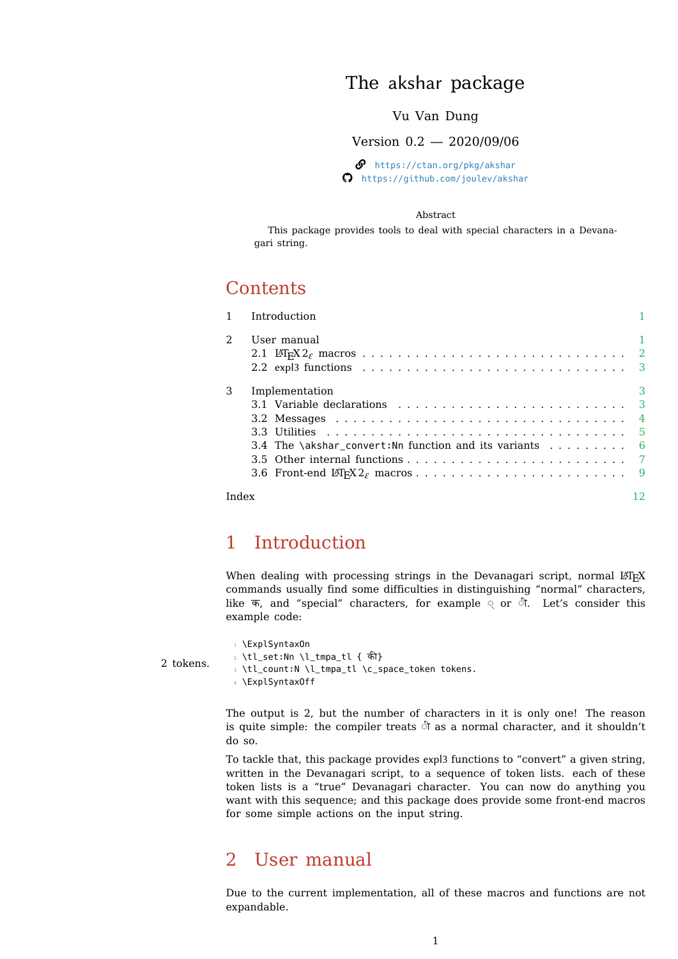## The akshar package

## Vu Van Dung

Version 0.2 — 2020/09/06

 $\mathcal{P}$  https://ctan.org/pkg/akshar  $\Omega$  https://github.com/joulev/akshar

### [Abstract](https://ctan.org/pkg/akshar)

This package provi[des tools to deal with special chara](https://github.com/joulev/akshar)cters in a Devanagari string.

# **Contents**

|                | Introduction                                                                                       |   |
|----------------|----------------------------------------------------------------------------------------------------|---|
| $\overline{a}$ | User manual                                                                                        |   |
|                |                                                                                                    |   |
|                | 2.2 expl3 functions $\ldots \ldots \ldots \ldots \ldots \ldots \ldots \ldots \ldots \ldots \ldots$ |   |
| 3              | Implementation                                                                                     | 3 |
|                |                                                                                                    |   |
|                |                                                                                                    |   |
|                |                                                                                                    |   |
|                | 3.4 The \akshar_convert: Nn function and its variants $\dots \dots$                                |   |
|                |                                                                                                    |   |
|                |                                                                                                    |   |
| Index          |                                                                                                    |   |

# 1 Introduction

<span id="page-0-0"></span>When dealing with processing strings in the Devanagari script, normal  $ETr[X]$ commands usually find some difficulties in distinguishing "normal" characters, like क, and "special" characters, for example ◌् or ◌ी. Let's consider this example code:

2 tokens. \ExplSyntaxOn \tl\_set:Nn \l\_tmpa\_tl { क} \tl\_count:N \l\_tmpa\_tl \c\_space\_token tokens. \ExplSyntaxOff

> The output is 2, but the number of characters in it is only one! The reason is quite simple: the compiler treats ◌ी as a normal character, and it shouldn't do so.

> To tackle that, this package provides expl3 functions to "convert" a given string, written in the Devanagari script, to a sequence of token lists. each of these token lists is a "true" Devanagari character. You can now do anything you want with this sequence; and this package does provide some front-end macros for some simple actions on the input string.

## 2 User manual

<span id="page-0-1"></span>Due to the current implementation, all of these macros and functions are not expandable.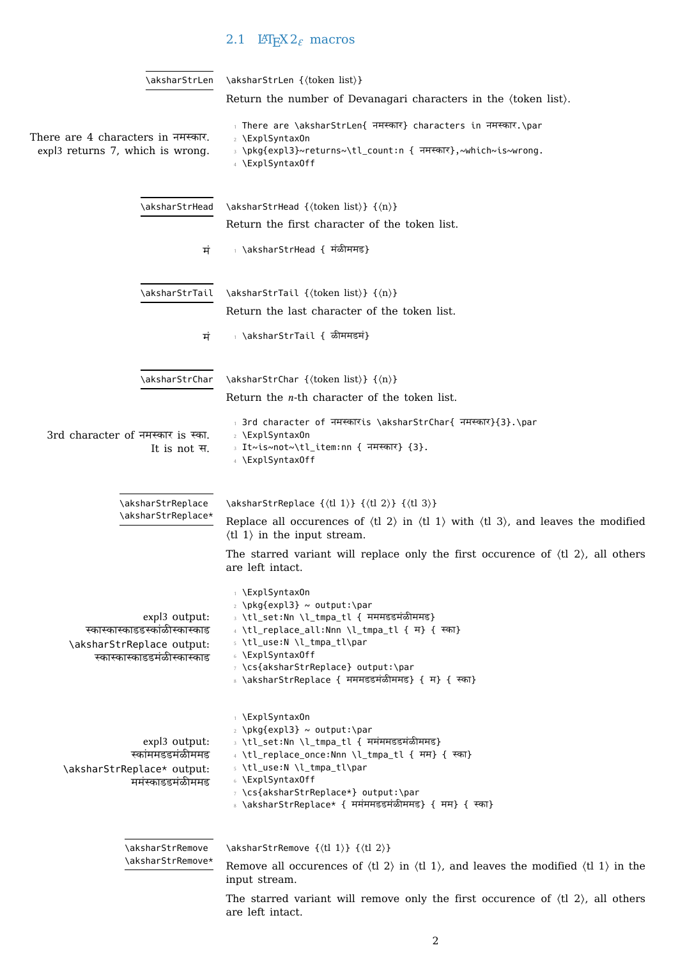# <span id="page-1-4"></span><span id="page-1-0"></span>2.1 LAT<sub>E</sub>X 2<sub> $\varepsilon$ </sub> macros

<span id="page-1-5"></span><span id="page-1-3"></span><span id="page-1-2"></span><span id="page-1-1"></span>

| \aksharStrLen                                               | \aksharStrLen {\token list}}                                                                                                                                                                                                               |
|-------------------------------------------------------------|--------------------------------------------------------------------------------------------------------------------------------------------------------------------------------------------------------------------------------------------|
|                                                             | Return the number of Devanagari characters in the (token list).                                                                                                                                                                            |
| There are 4 characters in नमस्कार.                          | There are \aksharStrLen{ नमस्कार} characters in नमस्कार.\par<br>2 \ExplSyntaxOn                                                                                                                                                            |
| expl3 returns 7, which is wrong.                            | › \pkg{expl3}~returns~\tl_count:n { नमस्कार},~which~is~wrong.<br>4 \ExplSyntaxOff                                                                                                                                                          |
| \aksharStrHead                                              | \aksharStrHead {\token list}} {\mathbb{n}}                                                                                                                                                                                                 |
|                                                             | Return the first character of the token list.                                                                                                                                                                                              |
| मं                                                          | ⊤ \aksharStrHead { मंळीममड}                                                                                                                                                                                                                |
| \aksharStrTail                                              | \aksharStrTail {\token list}} {\mathbb{n}}                                                                                                                                                                                                 |
|                                                             | Return the last character of the token list.                                                                                                                                                                                               |
| ਸੰ                                                          | ⊤ \aksharStrTail { ळीममडमं}                                                                                                                                                                                                                |
| \aksharStrChar                                              | \aksharStrChar {\token list}} {\mathbb{n}}                                                                                                                                                                                                 |
|                                                             | Return the $n$ -th character of the token list.                                                                                                                                                                                            |
| 3rd character of नमस्कार is स्का.<br>It is not स.           | 1 3rd character of नमस्कारांड \aksharStrChar{ नमस्कार}{3}.\par<br>2 \ExplSyntaxOn<br>। It~is~not~\tl_item:nn { नमस्कार} {3}.<br>4 \ExplSyntaxOff                                                                                           |
| \aksharStrReplace<br>\aksharStrReplace*                     | \aksharStrReplace {\tl 1} } {\tl 2} } {\tl 3} }<br>Replace all occurences of $\langle$ tl 2 $\rangle$ in $\langle$ tl 1 $\rangle$ with $\langle$ tl 3 $\rangle$ , and leaves the modified<br>$\langle$ tl 1 $\rangle$ in the input stream. |
|                                                             | The starred variant will replace only the first occurence of $\langle t  2 \rangle$ , all others<br>are left intact.                                                                                                                       |
|                                                             | ↑ \ExplSyntaxOn<br>2 \pkg{expl3} ~ output:\par                                                                                                                                                                                             |
| expl3 output:                                               | } \tl_set:Nn \l_tmpa_tl { मममडडमंळीममड}                                                                                                                                                                                                    |
| स्कास्कास्काडडस्कांळीस्कास्काड<br>\aksharStrReplace output: | 4 \tl_replace_all:Nnn \l_tmpa_tl { म} { स्का}<br>s \tl_use:N \l_tmpa_tl\par                                                                                                                                                                |
| स्कास्कास्काडडमंळीस्कास्काड                                 | © \ExplSyntaxOff<br>y \cs{aksharStrReplace} output:\par<br>8 \aksharStrReplace { मममडडमंळीममड} { म} { स्का}                                                                                                                                |
| expl3 output:<br>स्कांममडडमंळीममड                           | ↑ \ExplSyntaxOn<br>2 \pkg{expl3} ~ output:\par<br>∍ \tl_set:Nn \l_tmpa_tl { ममंममडडमंळीममड}<br>4 \tl_replace_once:Nnn \l_tmpa_tl { मम} { स्का}                                                                                             |
| \aksharStrReplace* output:<br>ममंस्काडडमंळीममड              | s \tl_use:N \l_tmpa_tl\par<br>© \ExplSyntaxOff<br>y \cs{aksharStrReplace*} output:\par<br>8 \aksharStrReplace* { ममंममडडमंळीममड} { मम} { स्का}                                                                                             |
| \aksharStrRemove                                            | \aksharStrRemove {\\ddot{l 1}} {\ddot 2}}                                                                                                                                                                                                  |
| \aksharStrRemove*                                           | Remove all occurences of $\langle$ tl 2 $\rangle$ in $\langle$ tl 1 $\rangle$ , and leaves the modified $\langle$ tl 1 $\rangle$ in the<br>input stream.                                                                                   |
|                                                             | The starred variant will remove only the first occurence of $\langle t  2 \rangle$ , all others<br>are left intact.                                                                                                                        |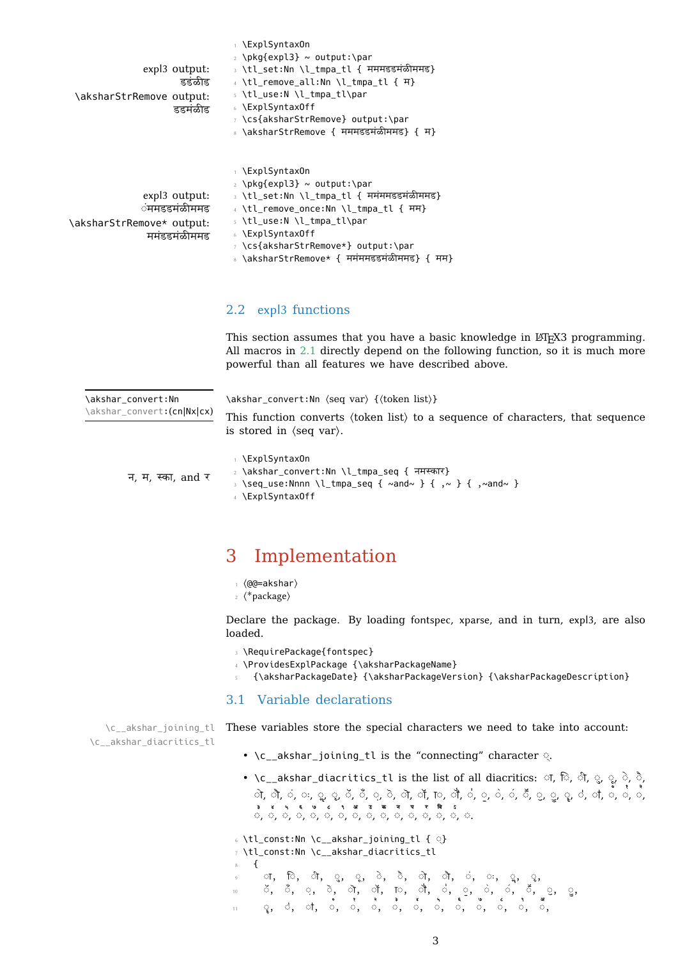| expl3 output:<br>द्रइंळीड<br>\aksharStrRemove output:<br>डडमंळीड          | 2 \pKytexptɔ <i>r</i> ~ output.\pan<br>∍ \tl set:Nn \l tmpa tl { मममडडमंळीममड}<br>4 \tl_remove_all:Nn \l_tmpa_tl { म}<br>s \tl_use:N \l_tmpa_tl\par<br>6 \ExplSyntaxOff<br>y \cs{aksharStrRemove} output:\par                                                                                                                       |
|---------------------------------------------------------------------------|-------------------------------------------------------------------------------------------------------------------------------------------------------------------------------------------------------------------------------------------------------------------------------------------------------------------------------------|
| expl3 output:<br>ंममडडमंळीममड<br>\aksharStrRemove* output:<br>ममंडडमळीममड | 8 \aksharStrRemove { मममडडमंळीममड} { म}<br>⊤ \ExplSyntax0n<br>$\frac{1}{2}$ \pkq{expl3} ~ output:\par<br>⇒ \tl set:Nn \l tmpa tl { ममंममडडमंळीममड}<br>4 \tl remove once:Nn \l tmpa tl { मम}<br>s \tl use:N \l tmpa tl\par<br>↓ \ExplSyntax0ff<br>y \cs{aksharStrRemove*} output:\par<br>◦ \aksharStrRemove* { ममंममडडमंळीममड} { मम} |

### 2.2 expl3 functions

<span id="page-2-0"></span>This section assumes that you have a basic knowledge in LATEX3 programming. All macros in 2.1 directly depend on the following function, so it is much more powerful than all features we have described above.

<span id="page-2-3"></span>

| \akshar convert:Nn<br>\akshar_convert:(cn Nx cx) | This function converts (token list) to a sequence of characters, that sequence<br>is stored in $\langle$ seq var $\rangle$ .            |
|--------------------------------------------------|-----------------------------------------------------------------------------------------------------------------------------------------|
| न, म, स्का, and र                                | \ExplSyntaxOn<br>2 \akshar_convert:Nn \l_tmpa_seq { नमस्कार}<br>\seq_use:Nnnn \l_tmpa_seq { ~and~ } { ,~ } { ,~and~ }<br>\ExplSyntaxOff |

## 3 Implementation

- <sup>1</sup> ⟨@@=akshar⟩
- <span id="page-2-1"></span><sup>2</sup> ⟨\*package⟩

Declare the package. By loading fontspec, xparse, and in turn, expl3, are also loaded.

- <sup>3</sup> \RequirePackage{fontspec}
- <sup>4</sup> \ProvidesExplPackage {\aksharPackageName}
- <sup>5</sup> {\aksharPackageDate} {\aksharPackageVersion} {\aksharPackageDescription}

### <span id="page-2-7"></span><span id="page-2-6"></span>3.1 Variable declarations

\c\_\_akshar\_joining\_tl \c\_\_akshar\_diacritics\_tl These variables store the special characters we need to take into account:

- <span id="page-2-5"></span><span id="page-2-2"></span>• \c\_\_akshar\_joining\_tl is the "connecting" character ◌्.
- <span id="page-2-4"></span>• \c\_\_akshar\_diacritics\_tl is the list of all diacritics: ा, ं, ं, ्, ू, ू, ं, े, ो, लै, वं, वः, २, २, उँ, वे, वे, ले, छ, लै, वं, वु, वं, वँ, २, २, २, ट्रा, वं, व, वं, व, वं, व ◌꣣ , ◌꣤ , ◌꣥ , ◌꣦ , ◌꣧, ◌꣨ , ◌꣩ , ◌꣪, ◌꣫, ◌꣬, ◌꣭, ◌꣮, ◌꣯, ◌ ꣰ , ◌꣱ , ◌स्.

```
6 \tl_const:Nn \c__akshar_joining_tl { ◌्}
7 \tl_const:Nn \c__akshar_diacritics_tl
8 {
9 ◌ा, ि◌, ◌ी, ◌ु, ◌ू, ◌े, ◌ै, ◌ाे, ◌ाै, ◌ं, ◌ः, ◌ॢ, ◌ृ,
10 ◌ॅ, ◌ँ, ◌़, ◌ॆ, ◌ाॆ, ◌ाॅ, ॎ◌, ◌ा, ◌॑, ◌॒, ◌॓, ◌॔, ◌ॕ, ◌ॖ, ◌ॗ,
_{11} _{12}, _{23}, _{34}, _{45}, _{04}, _{04}, _{04}, _{04}, _{04}, _{04}, _{05}, _{06}, _{07}, _{08}, _{09}, _{09}, _{09}, _{09}, _{09}, _{09}, _{09}, _{09}, _{09}, _{09}, _{09}, _{09}, _{09}
```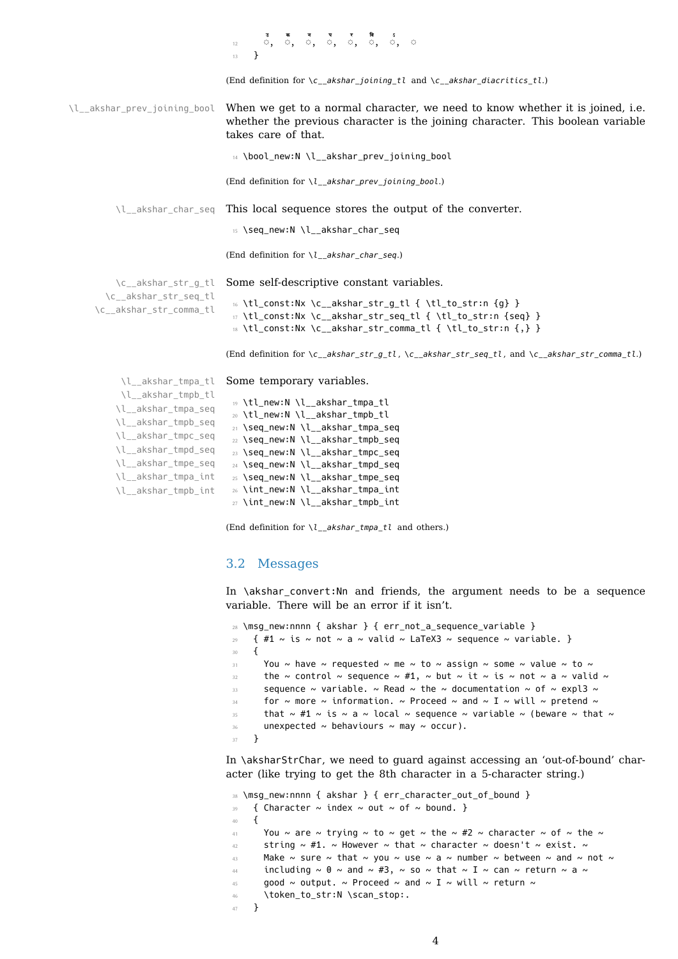<span id="page-3-8"></span><span id="page-3-3"></span>

|                                                 | $\frac{1}{12}$ $\frac{1}{12}$ $\frac{1}{12}$ $\frac{1}{12}$ $\frac{1}{12}$ $\frac{1}{12}$ $\frac{1}{12}$ $\frac{1}{12}$ $\frac{1}{12}$ $\frac{1}{12}$ $\frac{1}{12}$ $\frac{1}{12}$ $\frac{1}{12}$ $\frac{1}{12}$ $\frac{1}{12}$ $\frac{1}{12}$ $\frac{1}{12}$ $\frac{1}{12}$ $\frac{1}{12}$ $\frac{1}{12}$<br>13 |
|-------------------------------------------------|-------------------------------------------------------------------------------------------------------------------------------------------------------------------------------------------------------------------------------------------------------------------------------------------------------------------|
|                                                 | (End definition for $c_{a}$ kshar_joining_tl and $c_{a}$ kshar_diacritics_tl.)                                                                                                                                                                                                                                    |
| \l__akshar_prev_joining_bool                    | When we get to a normal character, we need to know whether it is joined, i.e.<br>whether the previous character is the joining character. This boolean variable<br>takes care of that.                                                                                                                            |
|                                                 | 14 \bool_new:N \l__akshar_prev_joining_bool                                                                                                                                                                                                                                                                       |
|                                                 | (End definition for $l$ akshar prev joining bool.)                                                                                                                                                                                                                                                                |
|                                                 | \l__akshar_char_seq This local sequence stores the output of the converter.                                                                                                                                                                                                                                       |
|                                                 | 15 \seq_new:N \l__akshar_char_seq                                                                                                                                                                                                                                                                                 |
|                                                 | (End definition for $\lceil \cdot \rceil$ akshar char seq.)                                                                                                                                                                                                                                                       |
| \c akshar str g tl                              | Some self-descriptive constant variables.                                                                                                                                                                                                                                                                         |
| \c akshar str seq tl<br>\c__akshar_str_comma_tl | 16 \tl_const:Nx \c__akshar_str_g_tl { \tl_to_str:n {g} }<br>17 \tl_const:Nx \c__akshar_str_seq_tl { \tl_to_str:n {seq} }<br>18 \tl_const:Nx \c__akshar_str_comma_tl { \tl_to_str:n {,} }                                                                                                                          |
|                                                 | (End definition for $\c_{adshar\_str\_g\_tl}$ , $\c_{adshar\_str\_seq\_tl}$ , and $\c_{adshar\_str\_comm\_tl}$ .)                                                                                                                                                                                                 |
|                                                 | \l_akshar_tmpa_tl Some temporary variables.                                                                                                                                                                                                                                                                       |
| \l__akshar_tmpb_tl<br>\] akshar tmna seq        | 19 \tl_new:N \l_akshar_tmpa_tl                                                                                                                                                                                                                                                                                    |

```
\l__akshar_tmpa_seq
\l__akshar_tmpb_seq
\l__akshar_tmpc_seq
\l__akshar_tmpd_seq
\l__akshar_tmpe_seq
\l__akshar_tmpa_int
\l__akshar_tmpb_int
                      20 \tl_new:N \l__akshar_tmpb_tl
                      21 \seq_new:N \l__akshar_tmpa_seq
                      22 \seq_new:N \l__akshar_tmpb_seq
                      23 \seq_new:N \l__akshar_tmpc_seq
                      24 \seq_new:N \l__akshar_tmpd_seq
                      25 \seq_new:N \l_akshar_tmpe_seq
                      26 \int_new:N \l__akshar_tmpa_int
```
<span id="page-3-20"></span><span id="page-3-19"></span><span id="page-3-18"></span><span id="page-3-17"></span><span id="page-3-16"></span><span id="page-3-15"></span><span id="page-3-14"></span><span id="page-3-9"></span><span id="page-3-1"></span><sup>27</sup> \int\_new:N \l\_\_akshar\_tmpb\_int

(End definition for *\l\_\_akshar\_tmpa\_tl* and others.)

### <span id="page-3-0"></span>3.2 Messages

In \akshar\_convert:Nn and friends, the argument needs to be a sequence variable. There will be an error if it isn't.

```
28 \msg_new:nnnn { akshar } { err_not_a_sequence_variable }
29 { #1 ~ is ~ not ~ a ~ valid ~ LaTeX3 ~ sequence ~ variable. }
30 \frac{1}{20}31 You ~ have ~ requested ~ me ~ to ~ assign ~ some ~ value ~ to ~
32 the \sim control \sim sequence \sim #1, \sim but \sim it \sim is \sim not \sim a \sim valid \sim33 sequence ~ variable. ~ Read ~ the ~ documentation ~ of ~ expl3 ~
34 for \sim more \sim information. \sim Proceed \sim and \sim I \sim will \sim pretend \sim35 that \sim #1 \sim is \sim a \sim local \sim sequence \sim variable \sim (beware \sim that \sim36 unexpected ~ behaviours ~ may ~ occur).
37 }
```
<span id="page-3-6"></span>In \aksharStrChar, we need to guard against accessing an 'out-of-bound' character (like trying to get the 8th character in a 5-character string.)

```
38 \msg_new:nnnn { akshar } { err_character_out_of_bound }
39 { Character \sim index \sim out \sim of \sim bound. }
40 \sim 5
41 You ~ are ~ trying ~ to ~ get ~ the ~ #2 ~ character ~ of ~ the ~
42 string \sim #1. \sim However \sim that \sim character \sim doesn't \sim exist. \sim43 Make ~ sure ~ that ~ you ~ use ~ a ~ number ~ between ~ and ~ not ~
44 including \sim 0 \sim and \sim #3, \sim so \sim that \sim I \sim can \sim return \sim a \sim45 good ~ output. ~ Proceed ~ and ~ I ~ will ~ return ~
46 \token_to_str:N \scan_stop:.
47 }
```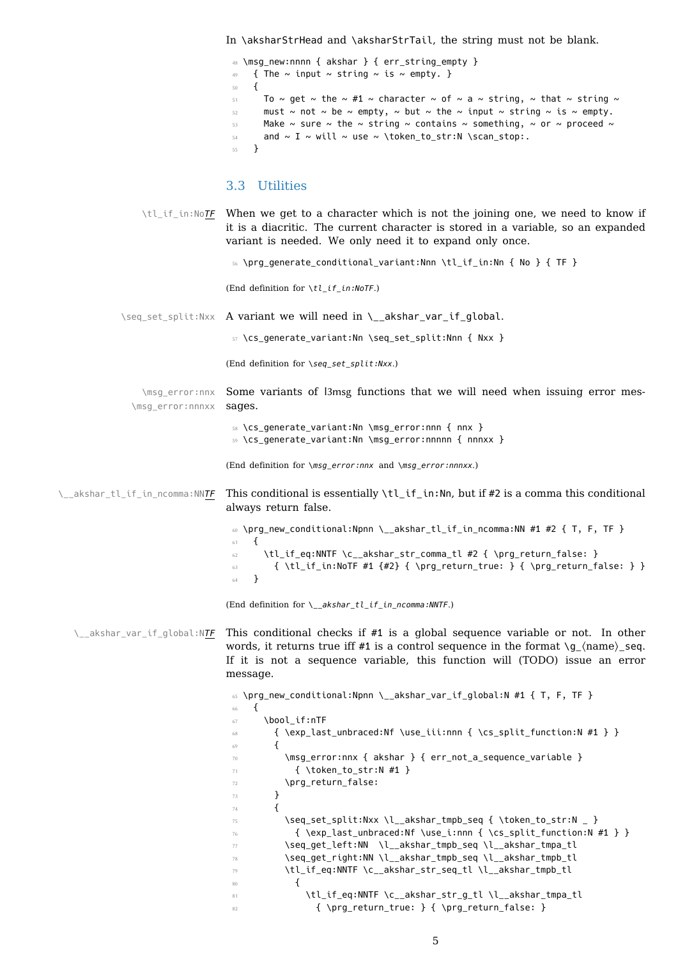In \aksharStrHead and \aksharStrTail, the string must not be blank.

```
48 \msg_new:nnnn { akshar } { err_string_empty }
49 { The \sim input \sim string \sim is \sim empty. }
50 \frac{1}{20}51 To ~ get ~ the ~ #1 ~ character ~ of ~ a ~ string, ~ that ~ string ~
52 must ~ not ~ be ~ empty, ~ but ~ the ~ input ~ string ~ is ~ empty.
53 Make ~ sure ~ the ~ string ~ contains ~ something, ~ or ~ proceed ~
54 and \sim I \sim will \sim use \sim \token to_str:N \scan_stop:.
55 }
```
## <span id="page-4-24"></span><span id="page-4-22"></span><span id="page-4-0"></span>3.3 Utilities

\tl\_if\_in:No*TF* When we get to a character which is not the joining one, we need to know if it is a diacritic. The current character is stored in a variable, so an expanded variant is needed. We only need it to expand only once.

<span id="page-4-18"></span><sup>56</sup> \prg\_generate\_conditional\_variant:Nnn \tl\_if\_in:Nn { No } { TF }

<span id="page-4-8"></span>(End definition for *\tl\_if\_in:NoTF*.)

\seq\_set\_split:Nxx A variant we will need in \\_\_akshar\_var\_if\_global.

<span id="page-4-23"></span>57 \cs\_generate\_variant:Nn \seq\_set\_split:Nnn { Nxx }

<span id="page-4-13"></span>(End definition for *\seq\_set\_split:Nxx*.)

\msg\_error:nnx Some variants of l3msg functions that we will need when issuing error mes-\msg\_error:nnnxx sages.

> <span id="page-4-16"></span><span id="page-4-14"></span><sup>58</sup> \cs\_generate\_variant:Nn \msg\_error:nnn { nnx } <sup>59</sup> \cs\_generate\_variant:Nn \msg\_error:nnnnn { nnnxx }

<span id="page-4-4"></span>(End definition for *\msg\_error:nnx* and *\msg\_error:nnnxx*.)

\\_\_akshar\_tl\_if\_in\_ncomma:NN*TF* This conditional is essentially \tl\_if\_in:Nn, but if #2 is a comma this conditional always return false.

> <span id="page-4-19"></span><span id="page-4-1"></span><sup>60</sup> \prg\_new\_conditional:Npnn \\_\_akshar\_tl\_if\_in\_ncomma:NN #1 #2 { T, F, TF } <sup>61</sup> { 62 \tl\_if\_eq:NNTF \c\_\_akshar\_str\_comma\_tl #2 { \prg\_return\_false: }  $\text{63}$  { \tl\_if\_in:NoTF #1 {#2} { \prg\_return\_true: } { \prg\_return\_false: } } <sup>64</sup> }

<span id="page-4-9"></span>(End definition for *\\_\_akshar\_tl\_if\_in\_ncomma:NNTF*.)

\\_akshar\_var\_if\_global:NTF This conditional checks if #1 is a global sequence variable or not. In other words, it returns true iff #1 is a control sequence in the format  $\gtrsim \langle n$ ame $\rangle$ \_seq. If it is not a sequence variable, this function will (TODO) issue an error message.

```
65 \prg_new_conditional:Npnn \__akshar_var_if_global:N #1 { T, F, TF }
\epsilon \epsilon67 \bool if:nTF
68 { \exp_last_unbraced:Nf \use_iii:nnn { \cs_split_function:N #1 } }
\begin{array}{ccc} 69 & & \mathbf{1} \end{array}70 \msg_error:nnx { akshar } { err_not_a_sequence_variable }
71 { \token_to_str:N #1 }
72 \prg_return_false:
73 }
74 \left\{ \begin{array}{ccc} 74 & & \end{array} \right\}75 \text{Seq_set}\spt:Nx \l_akshar\_tmpb\_seq {\tbot.to\_str:N } \}76 { \exp_last_unbraced:Nf \use_i:nnn { \cs_split_function:N #1 } }
77 \seq_get_left:NN \l__akshar_tmpb_seq \l__akshar_tmpa_tl
78 \seq_get_right:NN \l__akshar_tmpb_seq \l__akshar_tmpb_tl
79 \tl_if_eq:NNTF \c__akshar_str_seq_tl \l__akshar_tmpb_tl
80 {
81 \tl_if_eq:NNTF \c_akshar_str_g_tl \l_akshar_tmpa_tl
82 \{ \prg_return_time: } {\prg_return false: }
```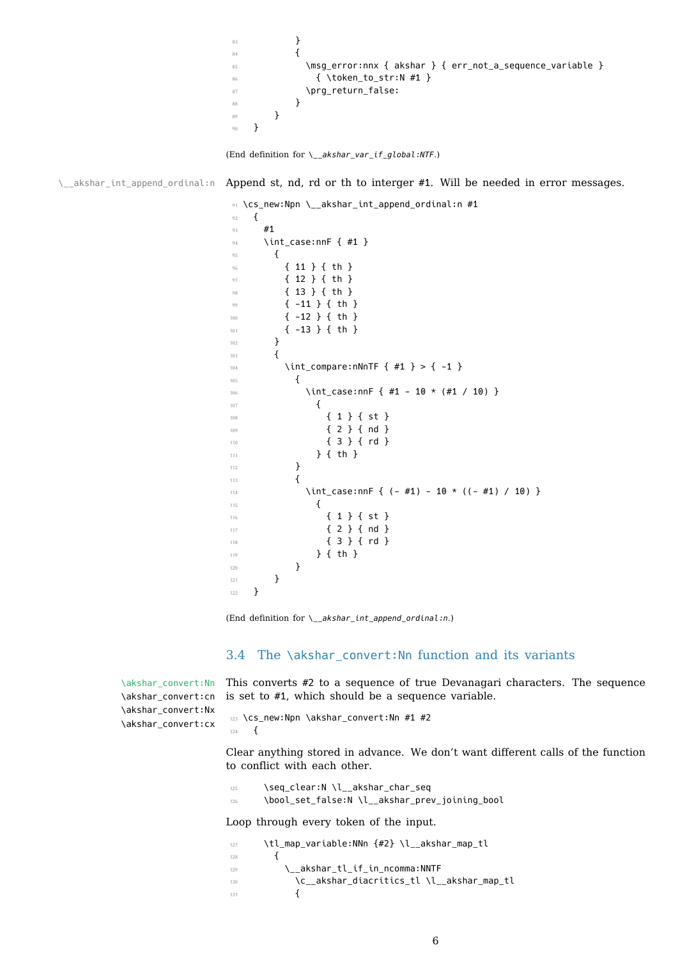```
85 \msg_error:nnx { akshar } { err_not_a_sequence_variable }
86 { \token_to_str:N #1 }
87 \prg_return_false:
88 }
89 }
90 }
```

```
(End definition for \__akshar_var_if_global:NTF.)
```
\\_\_akshar\_int\_append\_ordinal:n Append st, nd, rd or th to interger #1. Will be needed in error messages.

```
91 \cs_new:Npn \__akshar_int_append_ordinal:n #1
92 \frac{1}{2}93 #1
94 \int_case:nnF { #1 }
95 {
96 { 11 } { th }
97 { 12 } { th }
98 { 13 } { th }
99 { -11 } { th }
100 { -12 } { th }
101 { -13 } { th }
102 }
103 \{104 \int compare:nNnTF { #1 } > { -1 }
105 \{106 \int_case:nnF { #1 - 10 * (#1 / 10) }
107 \left\{ \begin{array}{c} \end{array} \right.108 { 1 } { st }
109 { 2 } { nd }
110 { 3 } { rd }
111 \qquad \qquad } { th }
112 }
\overline{113} \overline{13}114 \int_case:nnF { (- #1) - 10 \times ((- #1) / 10) }
\overline{\mathbf{1}} \overline{\mathbf{1}} \overline{\mathbf{1}} \overline{\mathbf{1}} \overline{\mathbf{1}} \overline{\mathbf{1}} \overline{\mathbf{1}} \overline{\mathbf{1}} \overline{\mathbf{1}} \overline{\mathbf{1}} \overline{\mathbf{1}} \overline{\mathbf{1}} \overline{\mathbf{1}} \overline{\mathbf{1}} \overline{\mathbf{1}} \overline{\mathbf{1}} \overline{\mathbf{1}} \overline{\mathbf{1}} \overline{\116 { 1 } { st }
117 \{ 2 \} \{ nd \}118 { 3 } { rd }
119 } { th }
120 }
\frac{1}{21} }
122 }
```
<span id="page-5-14"></span><span id="page-5-13"></span><span id="page-5-12"></span>(End definition for *\\_\_akshar\_int\_append\_ordinal:n*.)

### <span id="page-5-1"></span>3.4 The \akshar\_convert:Nn function and its variants

\akshar\_convert:Nn \akshar\_convert:cn \akshar\_convert:Nx \akshar\_convert:cx

This converts #2 to a sequence of true Devanagari characters. The sequence is set to #1, which should be a sequence variable.

```
123 \cs_new:Npn \akshar_convert:Nn #1 #2
124 \frac{124}{2}
```
<span id="page-5-2"></span>Clear anything stored in advance. We don't want different calls of the function to conflict with each other.

```
125 \seq_clear:N \l__akshar_char_seq
126 \bool_set_false:N \l__akshar_prev_joining_bool
```
Loop through every token of the input.

<span id="page-5-8"></span><span id="page-5-7"></span><span id="page-5-6"></span><span id="page-5-4"></span><span id="page-5-3"></span>127 \tl\_map\_variable:NNn {#2} \l\_\_akshar\_map\_tl  $128$   $\left\{ \begin{array}{c} 1 \end{array} \right\}$ <sup>129</sup> \\_\_akshar\_tl\_if\_in\_ncomma:NNTF 130 \c\_\_akshar\_diacritics\_tl \l\_\_akshar\_map\_tl  $131$   $\{$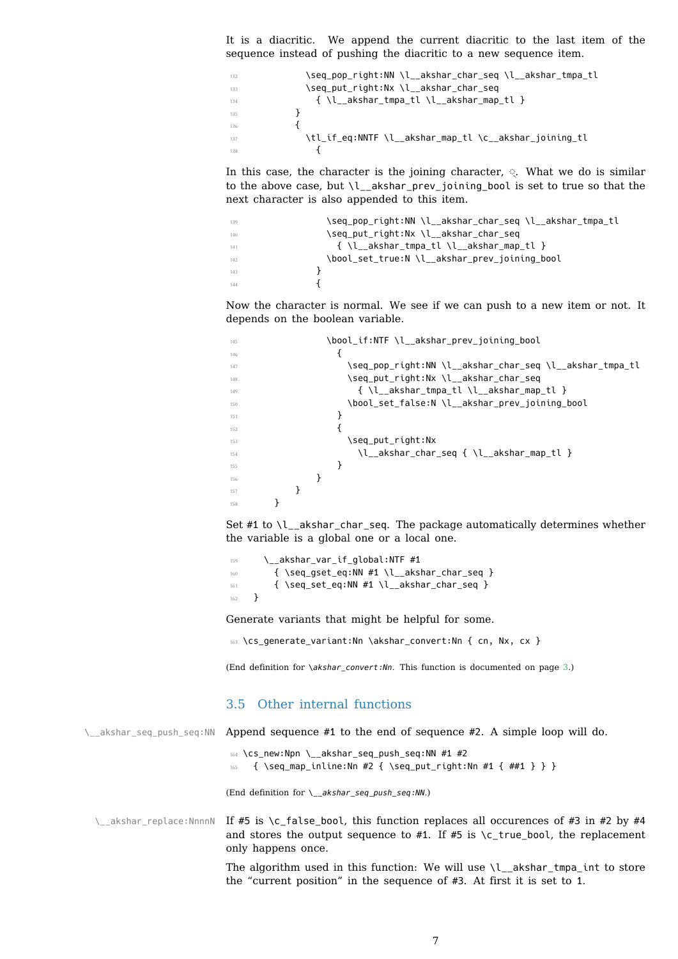sequence instead of pushing the diacritic to a new sequence item.

```
132 \seq_pop_right:NN \l__akshar_char_seq \l__akshar_tmpa_tl
133 \seq_put_right:Nx \l__akshar_char_seq
134 { \l__akshar_tmpa_tl \l__akshar_map_tl }
135 }
136 \{137 \tl_if_eq:NNTF \l__akshar_map_tl \c__akshar_joining_tl
\overline{\mathbf{1}} \overline{\mathbf{3}} \overline{\mathbf{4}}
```
<span id="page-6-11"></span><span id="page-6-10"></span><span id="page-6-2"></span><span id="page-6-1"></span>In this case, the character is the joining character,  $\Diamond$ . What we do is similar to the above case, but \l\_\_akshar\_prev\_joining\_bool is set to true so that the next character is also appended to this item.

```
\seq_pop_right:NN \l__akshar_char_seq \l__akshar_tmpa_tl
140 \seq_put_right:Nx \l__akshar_char_seq
141 { \l__akshar_tmpa_tl \l__akshar_map_tl }
142 \bool_set_true:N \l__akshar_prev_joining_bool
143 }
144 \left\{ \begin{array}{c} \end{array} \right\}
```
<span id="page-6-15"></span><span id="page-6-12"></span><span id="page-6-4"></span><span id="page-6-3"></span>Now the character is normal. We see if we can push to a new item or not. It depends on the boolean variable.

```
145 \bool_if:NTF \l__akshar_prev_joining_bool
\overline{146} \overline{146}147 \seq_pop_right:NN \l__akshar_char_seq \l__akshar_tmpa_tl
148 \seq_put_right:Nx \l__akshar_char_seq
\{ \ l_\_akshar\_tmpa\_tl \ l_\_akshar\_map\_tl \ }150 \bool_set_false:N \l__akshar_prev_joining_bool
\left\{\right\}\overline{\mathbf{1}} \overline{\mathbf{1}} \overline{\mathbf{1}} \overline{\mathbf{1}} \overline{\mathbf{1}} \overline{\mathbf{1}} \overline{\mathbf{1}} \overline{\mathbf{1}} \overline{\mathbf{1}} \overline{\mathbf{1}} \overline{\mathbf{1}} \overline{\mathbf{1}} \overline{\mathbf{1}} \overline{\mathbf{1}} \overline{\mathbf{1}} \overline{\mathbf{1}} \overline{\mathbf{1}} \overline{\mathbf{1}} \overline{\153 \seq_put_right:Nx
154 \l__akshar_char_seq { \l__akshar_map_tl }
\left\{\right\}\left\{\right\} \left\{\right\}157 }
158 }
```
<span id="page-6-23"></span><span id="page-6-17"></span><span id="page-6-13"></span><span id="page-6-7"></span><span id="page-6-6"></span>Set #1 to \l\_\_akshar\_char\_seq. The package automatically determines whether the variable is a global one or a local one.

```
159 \__akshar_var_if_global:NTF #1
160 {\seq_gset_eq:NN #1 \l__akshar_char_seq }
161 { \seq_set_eq:NN #1 \l__akshar_char_seq }
162 }
```
<span id="page-6-20"></span><span id="page-6-8"></span>Generate variants that might be helpful for some.

<span id="page-6-9"></span>163 \cs\_generate\_variant:Nn \akshar\_convert:Nn { cn, Nx, cx }

(End definition for *\akshar\_convert:Nn*. This function is documented on page 3.)

## <span id="page-6-22"></span><span id="page-6-21"></span><span id="page-6-19"></span><span id="page-6-18"></span>3.5 Other internal functions

| \_akshar_seq_push_seq:NN Append sequence #1 to the end of sequence #2. A simple loop will do.                                                                                                                      |
|--------------------------------------------------------------------------------------------------------------------------------------------------------------------------------------------------------------------|
| $164 \text{ }$ \cs_new:Npn \ akshar seq push seq:NN #1 #2<br>{ \seq_map_inline:Nn #2 { \seq_put_right:Nn #1 { ##1 } } }<br>165                                                                                     |
| (End definition for $\langle$ akshar seq push seq:NN.)                                                                                                                                                             |
| \_akshar_replace:NnnnN If #5 is \c_false_bool, this function replaces all occurences of #3 in #2 by #4<br>and stores the output sequence to #1. If #5 is $\cctan$ true bool, the replacement<br>only happens once. |
| The algorithm used in this function: We will use $\lceil \cdot \rceil$ akshar tmpa int to store<br>the "current position" in the sequence of #3. At first it is set to 1.                                          |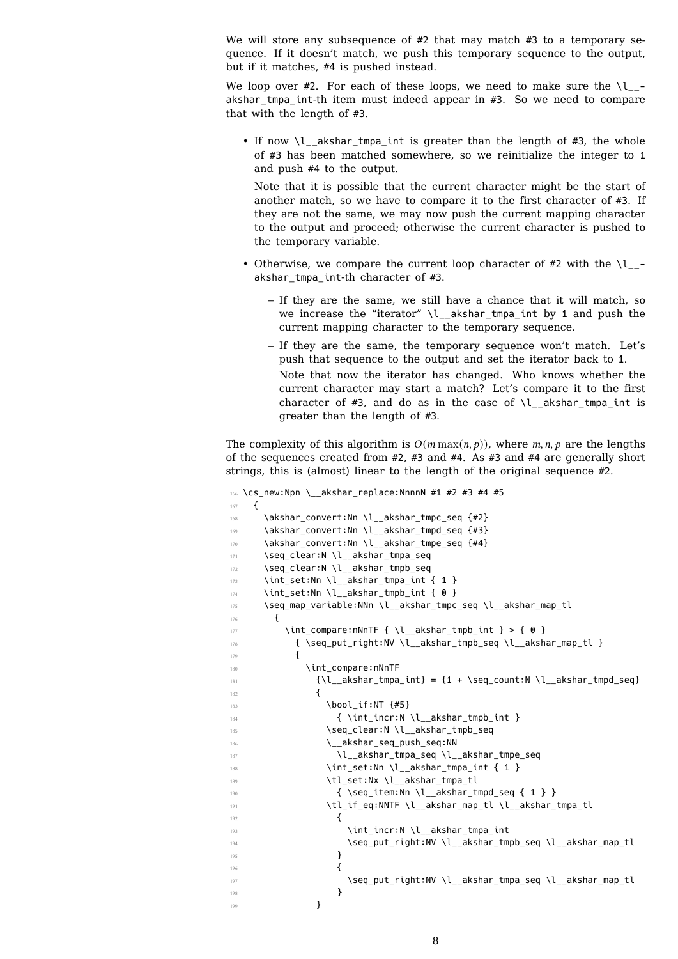We will store any subsequence of  $#2$  that may match  $#3$  to a temporary sequence. If it doesn't match, we push this temporary sequence to the output, but if it matches, #4 is pushed instead.

We loop over #2. For each of these loops, we need to make sure the  $\lvert \cdot \rvert$ akshar\_tmpa\_int-th item must indeed appear in #3. So we need to compare that with the length of #3.

• If now \l\_\_akshar\_tmpa\_int is greater than the length of #3, the whole of #3 has been matched somewhere, so we reinitialize the integer to 1 and push #4 to the output.

Note that it is possible that the current character might be the start of another match, so we have to compare it to the first character of #3. If they are not the same, we may now push the current mapping character to the output and proceed; otherwise the current character is pushed to the temporary variable.

- Otherwise, we compare the current loop character of #2 with the  $\lvert \cdot \rvert$ akshar tmpa int-th character of #3.
	- If they are the same, we still have a chance that it will match, so we increase the "iterator" \l\_\_akshar\_tmpa\_int by 1 and push the current mapping character to the temporary sequence.
	- If they are the same, the temporary sequence won't match. Let's push that sequence to the output and set the iterator back to 1. Note that now the iterator has changed. Who knows whether the current character may start a match? Let's compare it to the first character of #3, and do as in the case of  $\lceil \cdot \rceil$  akshar tmpa int is greater than the length of #3.

The complexity of this algorithm is  $O(m \max(n, p))$ , where m, n, p are the lengths of the sequences created from #2, #3 and #4. As #3 and #4 are generally short strings, this is (almost) linear to the length of the original sequence #2.

```
166 \cs_new:Npn \__akshar_replace:NnnnN #1 #2 #3 #4 #5
167 \frac{1}{2}168 \akshar_convert:Nn \l__akshar_tmpc_seq {#2}
169 \akshar_convert:Nn \l__akshar_tmpd_seq {#3}
170 \akshar_convert:Nn \l_akshar_tmpe_seq {#4}
171 \seq_clear:N \l__akshar_tmpa_seq
172 \seq_clear:N \l__akshar_tmpb_seq
173 \int_set:Nn \l__akshar_tmpa_int { 1 }
174 \int_set:Nn \l__akshar_tmpb_int { 0 }
175 \seq_map_variable:NNn \l_akshar_tmpc_seq \l_akshar_map_tl
176 {
177 \int \int_compare:nNnTF { \l__akshar_tmpb_int } > { 0 }
\frac{178}{178} { \seq_put_right:NV \l_akshar_tmpb_seq \l_akshar_map_tl }
179 \left\{ \begin{array}{c} \end{array} \right.180 \\int_compare:nNnTF
\{\lceil \log_2(K) \rceil\} = \{1 + \text{Seq_count:} \lceil \lceil \log_2(K) \rceil\}182 \left\{ \begin{array}{c} \end{array} \right.183 \bool_if:NT \{#5\}\{ \int \int \left[ \ln r : N \right] \leq \frac{1}{2}185 \seq_clear:N \l__akshar_tmpb_seq
186 \__akshar_seq_push_seq:NN
187 \l__akshar_tmpa_seq \l__akshar_tmpe_seq
188 \int_set:Nn \l__akshar_tmpa_int { 1 }
189 \tl_set:Nx \l__akshar_tmpa_tl
190 \{ \searrow\ \{ \searrow\ item:Nn \lhd akshar tmpd seq \{ 1 \}191 \tl_if_eq:NNTF \l__akshar_map_tl \l__akshar_tmpa_tl
192 \left\{ \begin{array}{c} \end{array} \right.193 \int_incr:N \l__akshar_tmpa_int
194 \seq_put_right:NV \l__akshar_tmpb_seq \l__akshar_map_tl
195 }
196 \left\{197 \seq_put_right:NV \l__akshar_tmpa_seq \l__akshar_map_tl
198 }
199 }
```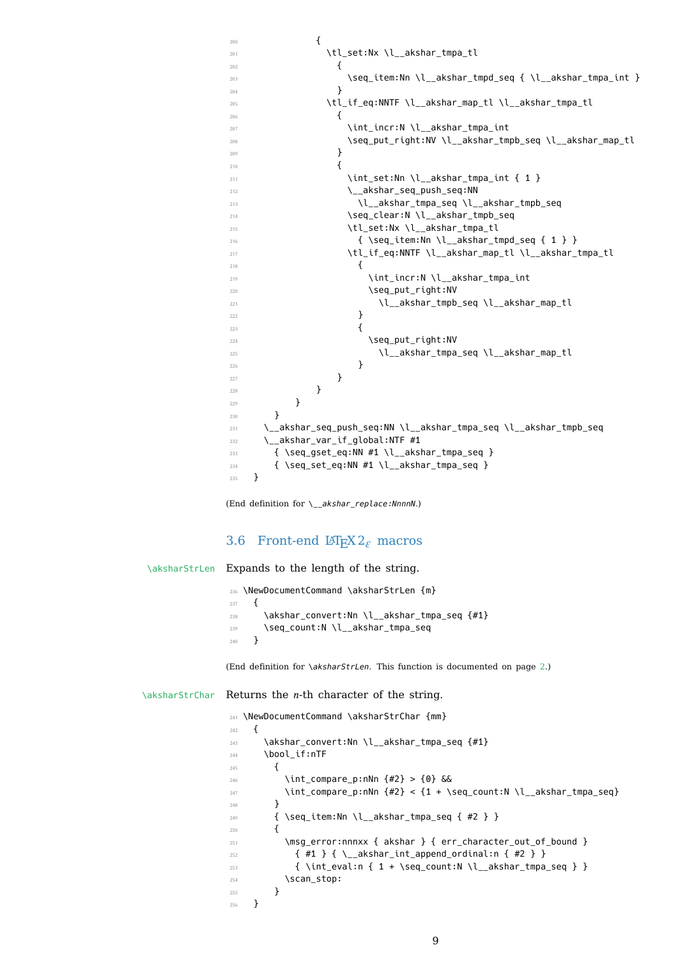```
201 \text{m} \text{m} \text{m} \text{m} \text{m} \text{m} \text{m} \text{m} \text{m}202 \qquad \qquad \left\{203 \text{Seq}\item: Nn \l_akshar\_tmp\_seq \l_1l_akshar\_tmpa\_int }\{204\}205 \tl_if_eq:NNTF \l__akshar_map_tl \l__akshar_tmpa_tl
206 \qquad \qquad \text{ }207 \int_incr:N \l__akshar_tmpa_int
208 \seq_put_right:NV \l__akshar_tmpb_seq \l__akshar_map_tl
\{209\} }
210 \qquad \qquad \{211 \int \int \int \left[ \text{set:} \ln \ \right] \ \left[ \text{abshar\_tmpa\_int} \ \{ \ 1 \ \} \right]212 \angle_akshar_seq_push_seq:NN
213 \l__akshar_tmpa_seq \l__akshar_tmpb_seq
214 \seq_clear:N \l__akshar_tmpb_seq
215 \tl_set:Nx \l__akshar_tmpa_tl
_{216} { \seq_item:Nn \l__akshar_tmpd_seq { 1 } }
217 \text{lt} if eq:NNTF \l akshar_map_tl \l akshar_tmpa_tl
218 \qquad \qquad \{219 \int_incr:N \l__akshar_tmpa_int
220 220 \seq_put_right:NV
221 \l__akshar_tmpb_seq \l__akshar_map_tl
222 }
223 \qquad \qquad \{224 224 \seq_put_right:NV
225 \l__akshar_tmpa_seq \l__akshar_map_tl
226 }\overline{227} }
\{228\} }
229 }
230 }
231 \__akshar_seq_push_seq:NN \l__akshar_tmpa_seq \l__akshar_tmpb_seq
232 \__akshar_var_if_global:NTF #1
233 { \seq_gset_eq:NN #1 \l__akshar_tmpa_seq }
234 { \seq_set_eq:NN #1 \l__akshar_tmpa_seq }
235 }
```
<span id="page-8-25"></span><span id="page-8-24"></span><span id="page-8-22"></span><span id="page-8-16"></span><span id="page-8-15"></span><span id="page-8-13"></span><span id="page-8-9"></span><span id="page-8-7"></span><span id="page-8-6"></span><span id="page-8-5"></span>(End definition for *\\_\_akshar\_replace:NnnnN*.)

### 3.6 Front-end  $\text{Lipx2}_{\varepsilon}$  macros

\aksharStrLen Expands to the length of the string.

```
236 \NewDocumentCommand \aksharStrLen {m}
237 \{238 \akshar_convert:Nn \l__akshar_tmpa_seq {#1}
239 \seq_count:N \l__akshar_tmpa_seq
240 }
```
<span id="page-8-31"></span><span id="page-8-17"></span><span id="page-8-0"></span>(End definition for *\aksharStrLen*. This function is documented on page 2.)

 $\kappa$  aksharStrChar Returns the *n*-th character of the string.

```
241 \NewDocumentCommand \aksharStrChar {mm}
242 \left\{ \begin{array}{c} \end{array} \right\}243 \akshar_convert:Nn \l__akshar_tmpa_seq {#1}
244 \bool_if:nTF
245 \left\{ \begin{array}{ccc} 245 & & & \end{array} \right\}246 \int_compare_p:nNn {#2} > {0} &&
247 \int_compare_p:nNn {#2} < {1 + \seq_count:N \l__akshar_tmpa_seq}
248 }
_{249} { \seq_item:Nn \l__akshar_tmpa_seq { #2 } }
250 \sim251 \msg_error:nnnxx { akshar } { err_character_out_of_bound }
_{252} \{ #1 \} \{ \ \setminus \ \text{akshar\_int append ordinal:n \} \{ #2 \} }
253 { \int_eval:n { 1 + \seq_count:N \l__akshar_tmpa_seq } }
254 \scan_stop:
255 }
256 }
```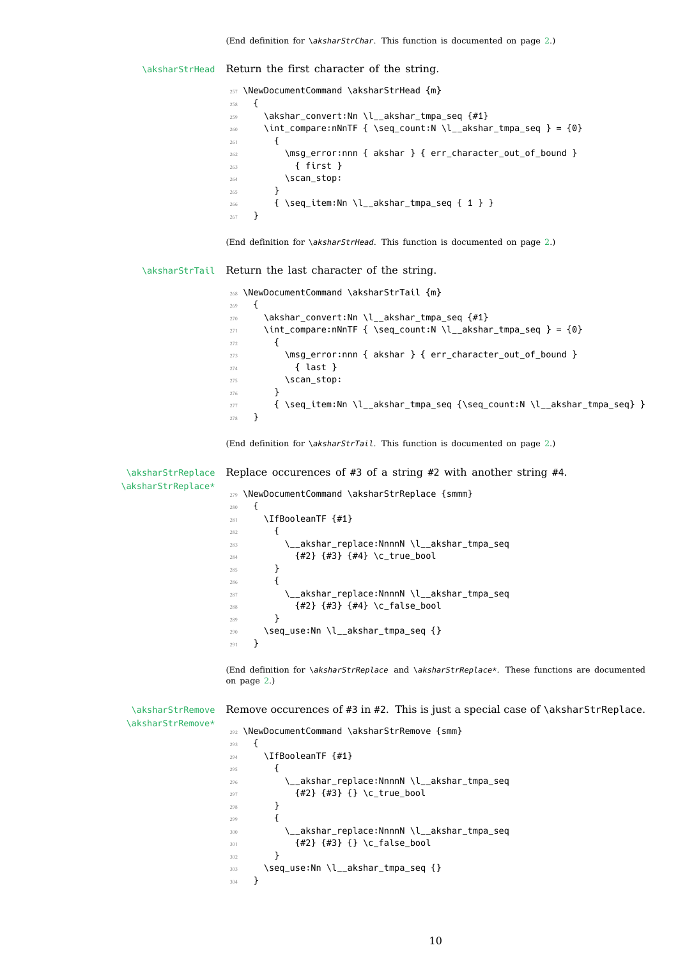<span id="page-9-25"></span><span id="page-9-21"></span><span id="page-9-20"></span><span id="page-9-12"></span><span id="page-9-7"></span><span id="page-9-6"></span><span id="page-9-0"></span>\aksharStrHead Return the first character of the string.

<span id="page-9-22"></span>257 \NewDocumentCommand \aksharStrHead {m} { \akshar\_convert:Nn \l\_\_akshar\_tmpa\_seq {#1} \int\_compare:nNnTF { \seq\_count:N \l\_\_akshar\_tmpa\_seq } = {0}  $\left\{ \begin{array}{c} 261 \end{array} \right.$ 262 \msg\_error:nnn { akshar } { err\_character\_out\_of\_bound }  $\{ \text{first } \}$ 264 \scan\_stop: } { \seq\_item:Nn \l\_\_akshar\_tmpa\_seq { 1 } } } (End definition for *\aksharStrHead*. This function is documented on page 2.) \aksharStrTail Return the last character of the string. \NewDocumentCommand \aksharStrTail {m} { 270 \akshar\_convert:Nn \l\_\_akshar\_tmpa\_seq {#1} \int\_compare:nNnTF { \seq\_count:N \l\_\_akshar\_tmpa\_seq } = {0} { \msq error:nnn { akshar } { err character out of bound } { last } \scan\_stop: } { \seq\_item:Nn \l\_\_akshar\_tmpa\_seq {\seq\_count:N \l\_\_akshar\_tmpa\_seq} } } (End definition for *\aksharStrTail*. This function is documented on page 2.) \aksharStrReplace \aksharStrReplace\* Replace occurences of #3 of a string #2 with another string #4. \NewDocumentCommand \aksharStrReplace {smmm} **{** 281 \IfBooleanTF {#1} **{** 283 \\_\_akshar\_replace:NnnnN \l\_\_akshar\_tmpa\_seq {#2} {#3} {#4} \c\_true\_bool } { \\_\_akshar\_replace:NnnnN \l\_\_akshar\_tmpa\_seq {#2} {#3} {#4} \c\_false\_bool <sup>289</sup> } \seq\_use:Nn \l\_\_akshar\_tmpa\_seq {} }

> <span id="page-9-26"></span><span id="page-9-23"></span><span id="page-9-18"></span><span id="page-9-16"></span><span id="page-9-15"></span><span id="page-9-14"></span><span id="page-9-10"></span><span id="page-9-9"></span><span id="page-9-8"></span><span id="page-9-3"></span><span id="page-9-2"></span><span id="page-9-1"></span>(End definition for *\aksharStrReplace* and *\aksharStrReplace\**. These functions are documented on page 2.)

\aksharStrRemove Remove occurences of #3 in #2. This is just a special case of \aksharStrReplace.

```
292 \NewDocumentCommand \aksharStrRemove {smm}
293 \epsilon294 \IfBooleanTF {#1}
295 {
296 \__akshar_replace:NnnnN \l__akshar_tmpa_seq
_{297} {#2} {#3} {} {} \{ \} \{ \} \{ \} \{ \} \{ \} \{ \} \{ \} \{ \} \{ \} \{ \} \{ \} \{ \} \{ \} \{ \} \{ \} \{ \} \{ \} \{ \} \{ \} 298 }
299300 \__akshar_replace:NnnnN \l__akshar_tmpa_seq
301 {#2} {#3} {} \c_false_bool
302 }
303 \seq_use:Nn \l__akshar_tmpa_seq {}
304 }
```
\aksharStrRemove\*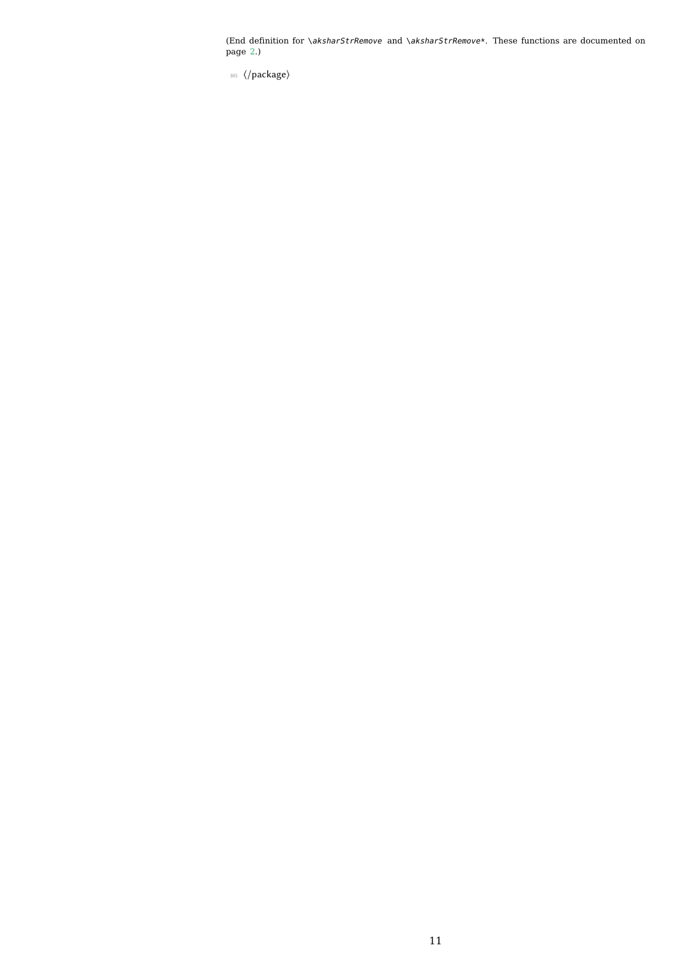⟨/package⟩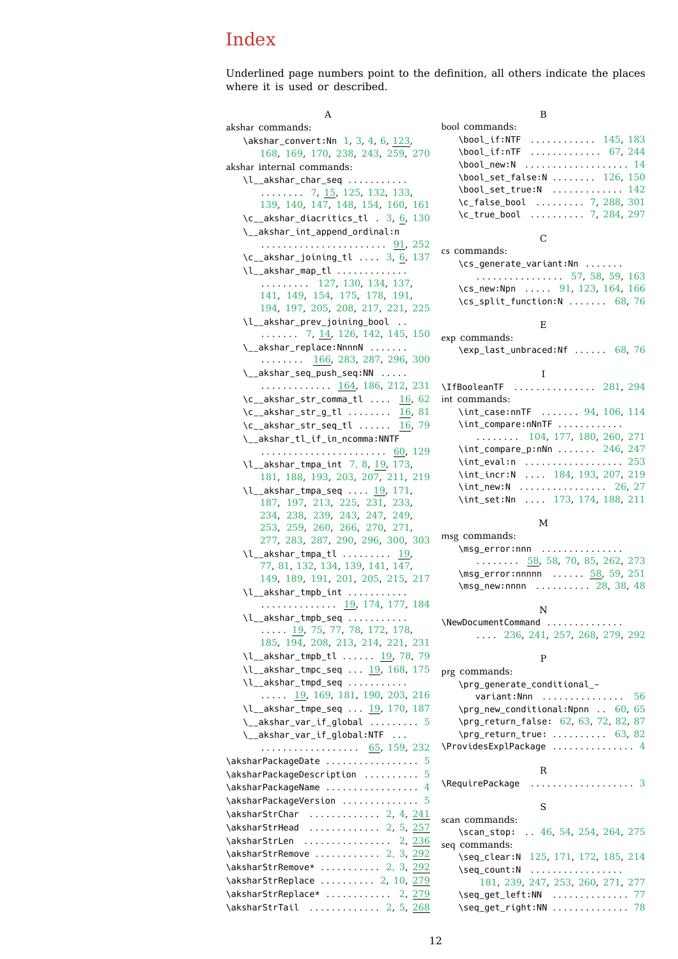Underlined page numbers point to the definition, all others indicate the places where it is used or described.

A akshar commands: \akshar\_convert:Nn 1, 3, 4, 6, 123, 168, 169, 170, 238, 243, 259, 270 akshar internal commands: \l\_ akshar\_char\_seq . . . . . . . . . .  $\ldots \ldots$  7, 1[5,](#page-2-3) [1](#page-3-1)25, 13[2,](#page-5-1) [133](#page-5-2), [139,](#page-7-0) [140](#page-7-1), [147](#page-7-2), [148,](#page-8-0) [154](#page-8-1), [160](#page-9-0), [161](#page-9-1) \c\_\_akshar\_diacritics\_tl . 3, 6, 130 \\_\_akshar\_int\_append\_ordinal:n . . . . . . . . . [. .](#page-6-0) [. . .](#page-3-2) . [. . . .](#page-5-3) [. . . .](#page-6-1) [91,](#page-6-2) 252  $\c_{\texttt{a}kshar\_joining\_tl \dots 3, 6, 137}$  $\c_{\texttt{a}kshar\_joining\_tl \dots 3, 6, 137}$  $\c_{\texttt{a}kshar\_joining\_tl \dots 3, 6, 137}$  $\c_{\texttt{a}kshar\_joining\_tl \dots 3, 6, 137}$  $\c_{\texttt{a}kshar\_joining\_tl \dots 3, 6, 137}$  $\c_{\texttt{a}kshar\_joining\_tl \dots 3, 6, 137}$  $\c_{\texttt{a}kshar\_joining\_tl \dots 3, 6, 137}$ \l\_\_akshar\_map\_tl [.](#page-2-4)............. . . . . . . . . . 127, 130, 134, 137[,](#page-5-4) 141, 149, 154, 175, 178, [191](#page-5-5), 194, 197, 205, 208, 217, [2](#page-2-4)2[1,](#page-2-4) [225](#page-6-10) \l\_\_akshar\_prev\_joining\_bool . . . . . . . . . 7, [14,](#page-5-6) [126,](#page-5-4) [142,](#page-6-11) [145,](#page-6-10) 150 \\_\_[aksh](#page-6-12)a[r\\_re](#page-6-13)p[lace](#page-6-7):[Nnnn](#page-7-3)N [. . .](#page-7-4) . [. . .](#page-7-5) [. . . .](#page-7-6) [. . . .](#page-7-7) [166](#page-8-3), [283](#page-8-4), [287](#page-8-5), [296](#page-8-6), [300](#page-8-7) \\_\_akshar\_seq\_push\_seq:NN . . . . . . [. .](#page-6-14) [. . .](#page-3-3) . . . . . . . <u>[164](#page-5-7)</u>, [186](#page-6-15), [212,](#page-6-16) [231](#page-6-17) \c\_\_akshar\_str\_comma\_tl .... 16, 62  $\c_{\texttt{a}kshar\_str\_g\_tl}$  ....... [16](#page-9-4), [81](#page-9-5)  $\c_{\text{a}kshar\_str\_seq\_tl}$  ..... 16, 79 \\_\_akshar\_tl\_if\_in[\\_nco](#page-6-19)m[ma:N](#page-7-8)[NTF](#page-8-8) . . . . . . . . . . . . . . . . . . . . . . . 6[0,](#page-3-4) [1](#page-8-9)[29](#page-4-1) \l\_\_akshar\_tmpa\_int 7, 8, 19, 1[73,](#page-3-4) 181, 188, 193, 203, 207, 21[1,](#page-3-4) [219](#page-4-3)  $\lceil$  akshar\_tmpa\_seq .... 19, 171, 187, 197, 213, 225, 231, [233](#page-4-4)[,](#page-5-8) 234, 238, 239, 2[43,](#page-6-18) 2[47,](#page-3-5) [249](#page-7-9), [253,](#page-7-10) [259](#page-7-11), [260](#page-7-12), [266](#page-8-10), [270](#page-8-11), 271, 277, 283, 287, 290, 29[6,](#page-3-5) [3](#page-8-12)[00,](#page-7-13) [303](#page-8-13) \l\_[\\_aks](#page-7-14)h[ar\\_t](#page-7-7)m[pa\\_t](#page-8-14)l [. . .](#page-8-7) . [. . . .](#page-8-9) . [19](#page-8-15), [77,](#page-8-16) 81, 132, 134, [139](#page-8-1), [141](#page-8-18), [147](#page-8-19), [149,](#page-8-20) [189,](#page-9-0) [191,](#page-9-6) [201,](#page-9-7) [205,](#page-9-1) [215,](#page-9-8) 217  $\lceil$  akshar tmpb i[nt](#page-9-10) [. . . .](#page-9-4) [. . . .](#page-9-5) . . . . . . . . . . . . . . . . . <u>19</u>, 174, 1[77,](#page-3-5) [184](#page-9-11) \l\_[\\_ak](#page-4-5)[shar](#page-4-2)[\\_tmp](#page-6-1)[b\\_seq](#page-6-11) ........... [. . . .](#page-6-13) . [19](#page-7-15), [75,](#page-7-5) 77, 78, [17](#page-8-3)2, [17](#page-8-22)8, 185, 194, 208, [213,](#page-8-21) 214, 221, [231](#page-8-5) \l\_\_akshar\_tmpb\_tl ...... 1[9,](#page-7-17) 78, [79](#page-7-18) \l\_\_akshar\_tmpc\_seq . . . 19, 168, 175 \l\_\_aksha[r\\_t](#page-3-5)[mpd\\_](#page-4-6)[seq](#page-4-5) ........... ..... [19](#page-7-6), [169](#page-8-4), [181](#page-8-14), [190](#page-8-23), [203](#page-8-6), [216](#page-8-9) \l\_\_akshar\_tmpe\_seq ... 19, 17[0,](#page-4-7) [187](#page-4-3) \\_\_akshar\_var\_if\_global ......... [5](#page-7-3) \\_\_akshar\_var\_if\_global:NTF . . . . [. . .](#page-3-5) [. . . .](#page-7-1) [. . . .](#page-7-10) . . . . . . [65](#page-7-21), [159,](#page-8-10) [232](#page-8-24) \aksharPackageDate ................... [5](#page-7-14) \aksharPackageDescription .......... [5](#page-4-8) \aksharPackageName ................. 4 \aksharPackageVersion ............... [5](#page-8-25) \aksharStrChar ............ 2, 4, 24[1](#page-2-5) \aksharStrHead ............ 2, 5, 25[7](#page-2-5) \aksharStrLen ................ 2, 23[6](#page-2-6) \aksharStrRemove ........... [2](#page-2-5), 3, 292 \aksharStrRemove\* .......... [2](#page-1-2), [3,](#page-3-6) [292](#page-8-26) \aksharStrReplace ......... [2,](#page-1-3) 1[0,](#page-3-7) [279](#page-9-12) \aksharStrReplace\* ........... [2,](#page-1-4) [279](#page-8-27) \aksharStrTail ............. [2,](#page-1-5) 5, [268](#page-9-13)

B bool commands: \bool\_if:NTF ............ 145, 183 \bool\_if:nTF ............. 67, 244 \bool\_new:N .................... 14 \bool\_set\_false:N ....... 126, 150 \bool\_set\_true:N ............. [142](#page-7-22) \c\_false\_bool ......... 7, 2[88](#page-4-10), [301](#page-8-28) \c\_true\_bool . . . . . . . . . . 7, 284, 2[97](#page-3-8)  $\mathcal{C}$ cs commands: \cs\_generate\_variant:Nn . [.](#page-6-18) .[.](#page-9-15)[.](#page-9-15)[.](#page-9-15)[.](#page-9-15) . . . . . . . . . . . . . . . . 57, 58, 59, [163](#page-9-17) \cs\_new:Npn ..... 91, 123, 164, 166 \cs\_split\_function:N ....... 68, 76 E exp commands: \exp\_last\_unbraced:[Nf](#page-5-9) . [. . .](#page-5-10) . . [68](#page-4-11), [76](#page-7-23) I \IfBooleanTF . . . . . . . . . . . . . . . 281, 294 int commands: \int\_case:nnTF ...... 94, 1[06,](#page-4-11) 1[14](#page-4-12) \int\_compare:nNnTF ............ . . . . . . . . 104, 177, 180, [260](#page-9-18), [271](#page-9-19) \int\_compare\_p:nNn ....... 246, 247 \int\_eval:n ................... [253](#page-5-13) \int\_incr:N .... 184, 193, 207, 219 \int\_new:N ................ 26, 27 \int\_set:Nn .... 173, 174, [188](#page-8-29), [211](#page-8-18) M msg commands: \msg\_error:nnn [.](#page-3-9).............. . . . . . . . . 58, 58, 70, 85, 262, [273](#page-8-12) \msg\_error:nnnnn ...... 58, 59, 251 \msq new:nnnn . . . . . . . . . 28, 38, 48 N \NewDocumentComm[and](#page-4-13) [.](#page-5-15)............. . . . . 236, 241, 257, 268, [2](#page-3-10)[79,](#page-3-11) [292](#page-8-30) P prg commands: \prg\_generate[\\_con](#page-8-32)ditional\_ varia[nt:N](#page-8-31)nn ............... [56](#page-9-24) \prg\_new\_conditional:Npnn . . 60, 65 \prg\_return\_false: 62, 63, 72, 82, 87 \prg\_return\_true: .......... 63, 82 \ProvidesExplPackage ............... [4](#page-4-18) R \RequirePackage [.](#page-4-21)................... [3](#page-4-21) S scan commands: \scan\_stop: .. 46, [5](#page-2-7)4, 254, 264, 275 seq commands: \seq\_clear:N 125, 171, 172, 185, 214  $\text{Seq\_count}:N$  ................... 181, 239, 24[7,](#page-3-12) [253,](#page-4-22) [260](#page-8-33), [271](#page-9-25), [277](#page-9-26) \seq\_get\_left:NN . . . . . . . . . . . . . . 77

\seq\_get\_righ[t:NN](#page-5-3) [. . . .](#page-7-13) . [. . .](#page-7-19) . [. . . .](#page-7-20) . [78](#page-8-23)